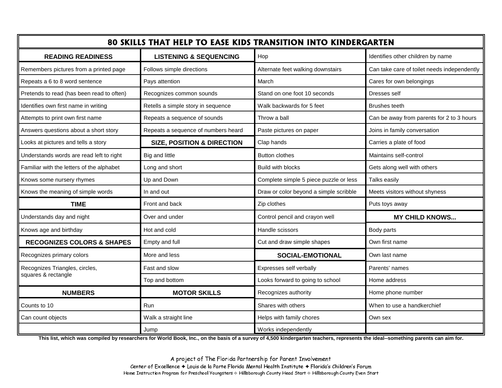| 80 SKILLS THAT HELP TO EASE KIDS TRANSITION INTO KINDERGARTEN |                                       |                                        |                                             |
|---------------------------------------------------------------|---------------------------------------|----------------------------------------|---------------------------------------------|
| <b>READING READINESS</b>                                      | <b>LISTENING &amp; SEQUENCING</b>     | Hop                                    | Identifies other children by name           |
| Remembers pictures from a printed page                        | Follows simple directions             | Alternate feet walking downstairs      | Can take care of toilet needs independently |
| Repeats a 6 to 8 word sentence                                | Pays attention                        | March                                  | Cares for own belongings                    |
| Pretends to read (has been read to often)                     | Recognizes common sounds              | Stand on one foot 10 seconds           | Dresses self                                |
| Identifies own first name in writing                          | Retells a simple story in sequence    | Walk backwards for 5 feet              | <b>Brushes teeth</b>                        |
| Attempts to print own first name                              | Repeats a sequence of sounds          | Throw a ball                           | Can be away from parents for 2 to 3 hours   |
| Answers questions about a short story                         | Repeats a sequence of numbers heard   | Paste pictures on paper                | Joins in family conversation                |
| Looks at pictures and tells a story                           | <b>SIZE, POSITION &amp; DIRECTION</b> | Clap hands                             | Carries a plate of food                     |
| Understands words are read left to right                      | Big and little                        | <b>Button clothes</b>                  | Maintains self-control                      |
| Familiar with the letters of the alphabet                     | Long and short                        | Build with blocks                      | Gets along well with others                 |
| Knows some nursery rhymes                                     | Up and Down                           | Complete simple 5 piece puzzle or less | Talks easily                                |
| Knows the meaning of simple words                             | In and out                            | Draw or color beyond a simple scribble | Meets visitors without shyness              |
| <b>TIME</b>                                                   | Front and back                        | Zip clothes                            | Puts toys away                              |
| Understands day and night                                     | Over and under                        | Control pencil and crayon well         | <b>MY CHILD KNOWS</b>                       |
| Knows age and birthday                                        | Hot and cold                          | Handle scissors                        | Body parts                                  |
| <b>RECOGNIZES COLORS &amp; SHAPES</b>                         | Empty and full                        | Cut and draw simple shapes             | Own first name                              |
| Recognizes primary colors                                     | More and less                         | <b>SOCIAL-EMOTIONAL</b>                | Own last name                               |
| Recognizes Triangles, circles,<br>squares & rectangle         | Fast and slow                         | Expresses self verbally                | Parents' names                              |
|                                                               | Top and bottom                        | Looks forward to going to school       | Home address                                |
| <b>NUMBERS</b>                                                | <b>MOTOR SKILLS</b>                   | Recognizes authority                   | Home phone number                           |
| Counts to 10                                                  | Run                                   | Shares with others                     | When to use a handkerchief                  |
| Can count objects                                             | Walk a straight line                  | Helps with family chores               | Own sex                                     |
|                                                               | Jump                                  | Works independently                    |                                             |

**This list, which was compiled by researchers for World Book, Inc., on the basis of a survey of 4,500 kindergarten teachers, represents the ideal--something parents can aim for.**